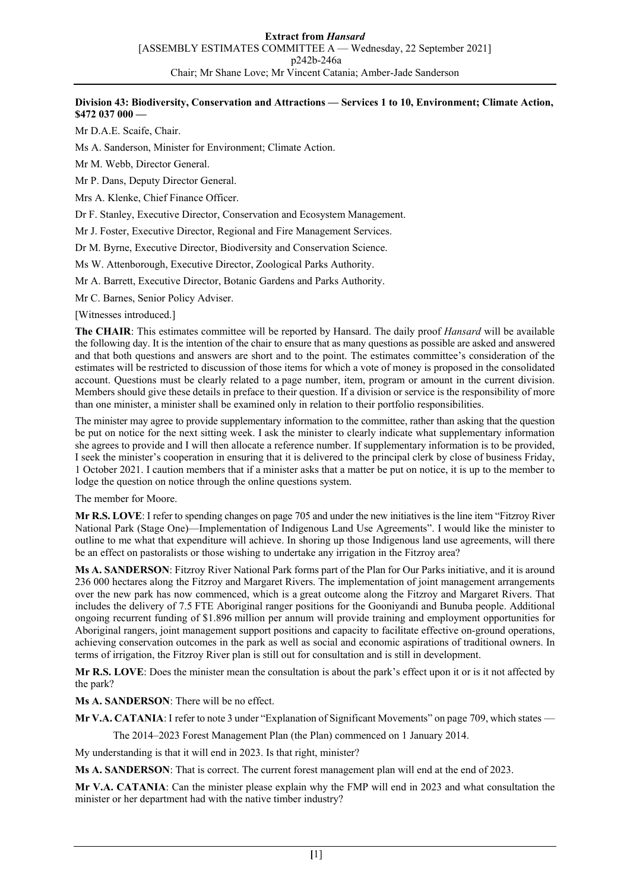### **Division 43: Biodiversity, Conservation and Attractions — Services 1 to 10, Environment; Climate Action, \$472 037 000 —**

Mr D.A.E. Scaife, Chair.

Ms A. Sanderson, Minister for Environment; Climate Action.

Mr M. Webb, Director General.

Mr P. Dans, Deputy Director General.

Mrs A. Klenke, Chief Finance Officer.

Dr F. Stanley, Executive Director, Conservation and Ecosystem Management.

Mr J. Foster, Executive Director, Regional and Fire Management Services.

Dr M. Byrne, Executive Director, Biodiversity and Conservation Science.

Ms W. Attenborough, Executive Director, Zoological Parks Authority.

Mr A. Barrett, Executive Director, Botanic Gardens and Parks Authority.

Mr C. Barnes, Senior Policy Adviser.

[Witnesses introduced.]

**The CHAIR**: This estimates committee will be reported by Hansard. The daily proof *Hansard* will be available the following day. It is the intention of the chair to ensure that as many questions as possible are asked and answered and that both questions and answers are short and to the point. The estimates committee's consideration of the estimates will be restricted to discussion of those items for which a vote of money is proposed in the consolidated account. Questions must be clearly related to a page number, item, program or amount in the current division. Members should give these details in preface to their question. If a division or service is the responsibility of more than one minister, a minister shall be examined only in relation to their portfolio responsibilities.

The minister may agree to provide supplementary information to the committee, rather than asking that the question be put on notice for the next sitting week. I ask the minister to clearly indicate what supplementary information she agrees to provide and I will then allocate a reference number. If supplementary information is to be provided, I seek the minister's cooperation in ensuring that it is delivered to the principal clerk by close of business Friday, 1 October 2021. I caution members that if a minister asks that a matter be put on notice, it is up to the member to lodge the question on notice through the online questions system.

The member for Moore.

**Mr R.S. LOVE**: I refer to spending changes on page 705 and under the new initiatives is the line item "Fitzroy River National Park (Stage One)—Implementation of Indigenous Land Use Agreements". I would like the minister to outline to me what that expenditure will achieve. In shoring up those Indigenous land use agreements, will there be an effect on pastoralists or those wishing to undertake any irrigation in the Fitzroy area?

**Ms A. SANDERSON**: Fitzroy River National Park forms part of the Plan for Our Parks initiative, and it is around 236 000 hectares along the Fitzroy and Margaret Rivers. The implementation of joint management arrangements over the new park has now commenced, which is a great outcome along the Fitzroy and Margaret Rivers. That includes the delivery of 7.5 FTE Aboriginal ranger positions for the Gooniyandi and Bunuba people. Additional ongoing recurrent funding of \$1.896 million per annum will provide training and employment opportunities for Aboriginal rangers, joint management support positions and capacity to facilitate effective on-ground operations, achieving conservation outcomes in the park as well as social and economic aspirations of traditional owners. In terms of irrigation, the Fitzroy River plan is still out for consultation and is still in development.

**Mr R.S. LOVE**: Does the minister mean the consultation is about the park's effect upon it or is it not affected by the park?

**Ms A. SANDERSON**: There will be no effect.

**Mr V.A. CATANIA**: I refer to note 3 under "Explanation of Significant Movements" on page 709, which states —

The 2014–2023 Forest Management Plan (the Plan) commenced on 1 January 2014.

My understanding is that it will end in 2023. Is that right, minister?

**Ms A. SANDERSON**: That is correct. The current forest management plan will end at the end of 2023.

**Mr V.A. CATANIA**: Can the minister please explain why the FMP will end in 2023 and what consultation the minister or her department had with the native timber industry?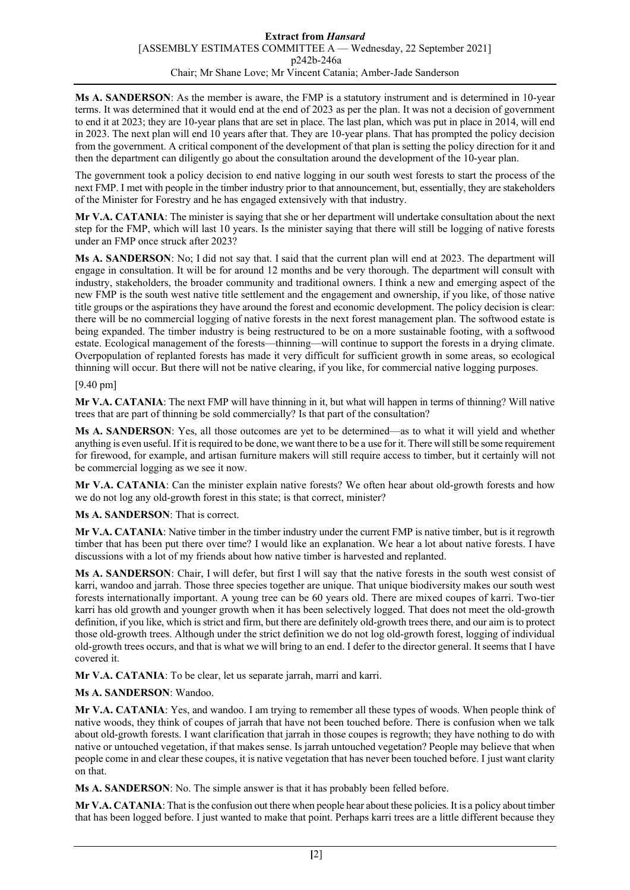**Ms A. SANDERSON**: As the member is aware, the FMP is a statutory instrument and is determined in 10-year terms. It was determined that it would end at the end of 2023 as per the plan. It was not a decision of government to end it at 2023; they are 10-year plans that are set in place. The last plan, which was put in place in 2014, will end in 2023. The next plan will end 10 years after that. They are 10-year plans. That has prompted the policy decision from the government. A critical component of the development of that plan is setting the policy direction for it and then the department can diligently go about the consultation around the development of the 10-year plan.

The government took a policy decision to end native logging in our south west forests to start the process of the next FMP. I met with people in the timber industry prior to that announcement, but, essentially, they are stakeholders of the Minister for Forestry and he has engaged extensively with that industry.

**Mr V.A. CATANIA**: The minister is saying that she or her department will undertake consultation about the next step for the FMP, which will last 10 years. Is the minister saying that there will still be logging of native forests under an FMP once struck after 2023?

**Ms A. SANDERSON**: No; I did not say that. I said that the current plan will end at 2023. The department will engage in consultation. It will be for around 12 months and be very thorough. The department will consult with industry, stakeholders, the broader community and traditional owners. I think a new and emerging aspect of the new FMP is the south west native title settlement and the engagement and ownership, if you like, of those native title groups or the aspirations they have around the forest and economic development. The policy decision is clear: there will be no commercial logging of native forests in the next forest management plan. The softwood estate is being expanded. The timber industry is being restructured to be on a more sustainable footing, with a softwood estate. Ecological management of the forests—thinning—will continue to support the forests in a drying climate. Overpopulation of replanted forests has made it very difficult for sufficient growth in some areas, so ecological thinning will occur. But there will not be native clearing, if you like, for commercial native logging purposes.

#### [9.40 pm]

**Mr V.A. CATANIA**: The next FMP will have thinning in it, but what will happen in terms of thinning? Will native trees that are part of thinning be sold commercially? Is that part of the consultation?

**Ms A. SANDERSON**: Yes, all those outcomes are yet to be determined—as to what it will yield and whether anything is even useful. If it is required to be done, we want there to be a use for it. There willstill be some requirement for firewood, for example, and artisan furniture makers will still require access to timber, but it certainly will not be commercial logging as we see it now.

**Mr V.A. CATANIA**: Can the minister explain native forests? We often hear about old-growth forests and how we do not log any old-growth forest in this state; is that correct, minister?

**Ms A. SANDERSON**: That is correct.

**Mr V.A. CATANIA**: Native timber in the timber industry under the current FMP is native timber, but is it regrowth timber that has been put there over time? I would like an explanation. We hear a lot about native forests. I have discussions with a lot of my friends about how native timber is harvested and replanted.

**Ms A. SANDERSON**: Chair, I will defer, but first I will say that the native forests in the south west consist of karri, wandoo and jarrah. Those three species together are unique. That unique biodiversity makes our south west forests internationally important. A young tree can be 60 years old. There are mixed coupes of karri. Two-tier karri has old growth and younger growth when it has been selectively logged. That does not meet the old-growth definition, if you like, which is strict and firm, but there are definitely old-growth trees there, and our aim is to protect those old-growth trees. Although under the strict definition we do not log old-growth forest, logging of individual old-growth trees occurs, and that is what we will bring to an end. I defer to the director general. It seems that I have covered it.

**Mr V.A. CATANIA**: To be clear, let us separate jarrah, marri and karri.

# **Ms A. SANDERSON**: Wandoo.

**Mr V.A. CATANIA**: Yes, and wandoo. I am trying to remember all these types of woods. When people think of native woods, they think of coupes of jarrah that have not been touched before. There is confusion when we talk about old-growth forests. I want clarification that jarrah in those coupes is regrowth; they have nothing to do with native or untouched vegetation, if that makes sense. Is jarrah untouched vegetation? People may believe that when people come in and clear these coupes, it is native vegetation that has never been touched before. I just want clarity on that.

**Ms A. SANDERSON**: No. The simple answer is that it has probably been felled before.

**Mr V.A. CATANIA**: That is the confusion out there when people hear about these policies. It is a policy about timber that has been logged before. I just wanted to make that point. Perhaps karri trees are a little different because they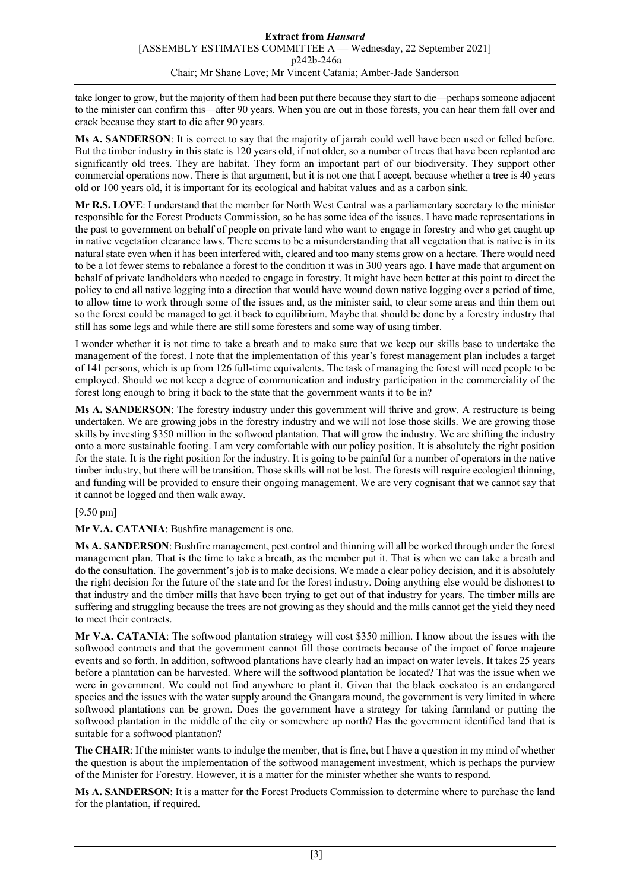take longer to grow, but the majority of them had been put there because they start to die—perhaps someone adjacent to the minister can confirm this—after 90 years. When you are out in those forests, you can hear them fall over and crack because they start to die after 90 years.

**Ms A. SANDERSON**: It is correct to say that the majority of jarrah could well have been used or felled before. But the timber industry in this state is 120 years old, if not older, so a number of trees that have been replanted are significantly old trees. They are habitat. They form an important part of our biodiversity. They support other commercial operations now. There is that argument, but it is not one that I accept, because whether a tree is 40 years old or 100 years old, it is important for its ecological and habitat values and as a carbon sink.

**Mr R.S. LOVE**: I understand that the member for North West Central was a parliamentary secretary to the minister responsible for the Forest Products Commission, so he has some idea of the issues. I have made representations in the past to government on behalf of people on private land who want to engage in forestry and who get caught up in native vegetation clearance laws. There seems to be a misunderstanding that all vegetation that is native is in its natural state even when it has been interfered with, cleared and too many stems grow on a hectare. There would need to be a lot fewer stems to rebalance a forest to the condition it was in 300 years ago. I have made that argument on behalf of private landholders who needed to engage in forestry. It might have been better at this point to direct the policy to end all native logging into a direction that would have wound down native logging over a period of time, to allow time to work through some of the issues and, as the minister said, to clear some areas and thin them out so the forest could be managed to get it back to equilibrium. Maybe that should be done by a forestry industry that still has some legs and while there are still some foresters and some way of using timber.

I wonder whether it is not time to take a breath and to make sure that we keep our skills base to undertake the management of the forest. I note that the implementation of this year's forest management plan includes a target of 141 persons, which is up from 126 full-time equivalents. The task of managing the forest will need people to be employed. Should we not keep a degree of communication and industry participation in the commerciality of the forest long enough to bring it back to the state that the government wants it to be in?

**Ms A. SANDERSON**: The forestry industry under this government will thrive and grow. A restructure is being undertaken. We are growing jobs in the forestry industry and we will not lose those skills. We are growing those skills by investing \$350 million in the softwood plantation. That will grow the industry. We are shifting the industry onto a more sustainable footing. I am very comfortable with our policy position. It is absolutely the right position for the state. It is the right position for the industry. It is going to be painful for a number of operators in the native timber industry, but there will be transition. Those skills will not be lost. The forests will require ecological thinning, and funding will be provided to ensure their ongoing management. We are very cognisant that we cannot say that it cannot be logged and then walk away.

# [9.50 pm]

**Mr V.A. CATANIA**: Bushfire management is one.

**Ms A. SANDERSON**: Bushfire management, pest control and thinning will all be worked through under the forest management plan. That is the time to take a breath, as the member put it. That is when we can take a breath and do the consultation. The government's job is to make decisions. We made a clear policy decision, and it is absolutely the right decision for the future of the state and for the forest industry. Doing anything else would be dishonest to that industry and the timber mills that have been trying to get out of that industry for years. The timber mills are suffering and struggling because the trees are not growing as they should and the mills cannot get the yield they need to meet their contracts.

**Mr V.A. CATANIA**: The softwood plantation strategy will cost \$350 million. I know about the issues with the softwood contracts and that the government cannot fill those contracts because of the impact of force majeure events and so forth. In addition, softwood plantations have clearly had an impact on water levels. It takes 25 years before a plantation can be harvested. Where will the softwood plantation be located? That was the issue when we were in government. We could not find anywhere to plant it. Given that the black cockatoo is an endangered species and the issues with the water supply around the Gnangara mound, the government is very limited in where softwood plantations can be grown. Does the government have a strategy for taking farmland or putting the softwood plantation in the middle of the city or somewhere up north? Has the government identified land that is suitable for a softwood plantation?

**The CHAIR**: If the minister wants to indulge the member, that is fine, but I have a question in my mind of whether the question is about the implementation of the softwood management investment, which is perhaps the purview of the Minister for Forestry. However, it is a matter for the minister whether she wants to respond.

**Ms A. SANDERSON**: It is a matter for the Forest Products Commission to determine where to purchase the land for the plantation, if required.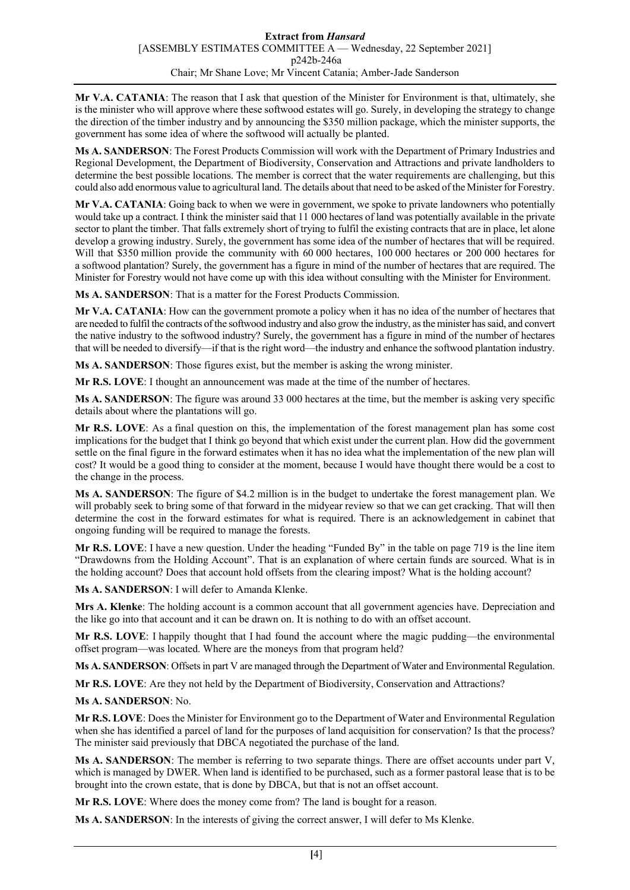**Mr V.A. CATANIA**: The reason that I ask that question of the Minister for Environment is that, ultimately, she is the minister who will approve where these softwood estates will go. Surely, in developing the strategy to change the direction of the timber industry and by announcing the \$350 million package, which the minister supports, the government has some idea of where the softwood will actually be planted.

**Ms A. SANDERSON**: The Forest Products Commission will work with the Department of Primary Industries and Regional Development, the Department of Biodiversity, Conservation and Attractions and private landholders to determine the best possible locations. The member is correct that the water requirements are challenging, but this could also add enormous value to agricultural land. The details about that need to be asked of the Minister for Forestry.

**Mr V.A. CATANIA**: Going back to when we were in government, we spoke to private landowners who potentially would take up a contract. I think the minister said that 11 000 hectares of land was potentially available in the private sector to plant the timber. That falls extremely short of trying to fulfil the existing contracts that are in place, let alone develop a growing industry. Surely, the government has some idea of the number of hectares that will be required. Will that \$350 million provide the community with 60 000 hectares, 100 000 hectares or 200 000 hectares for a softwood plantation? Surely, the government has a figure in mind of the number of hectares that are required. The Minister for Forestry would not have come up with this idea without consulting with the Minister for Environment.

**Ms A. SANDERSON**: That is a matter for the Forest Products Commission.

**Mr V.A. CATANIA**: How can the government promote a policy when it has no idea of the number of hectares that are needed to fulfil the contracts of the softwood industry and also grow the industry, as the minister has said, and convert the native industry to the softwood industry? Surely, the government has a figure in mind of the number of hectares that will be needed to diversify—if that is the right word—the industry and enhance the softwood plantation industry.

**Ms A. SANDERSON**: Those figures exist, but the member is asking the wrong minister.

**Mr R.S. LOVE**: I thought an announcement was made at the time of the number of hectares.

**Ms A. SANDERSON**: The figure was around 33 000 hectares at the time, but the member is asking very specific details about where the plantations will go.

**Mr R.S. LOVE**: As a final question on this, the implementation of the forest management plan has some cost implications for the budget that I think go beyond that which exist under the current plan. How did the government settle on the final figure in the forward estimates when it has no idea what the implementation of the new plan will cost? It would be a good thing to consider at the moment, because I would have thought there would be a cost to the change in the process.

**Ms A. SANDERSON**: The figure of \$4.2 million is in the budget to undertake the forest management plan. We will probably seek to bring some of that forward in the midyear review so that we can get cracking. That will then determine the cost in the forward estimates for what is required. There is an acknowledgement in cabinet that ongoing funding will be required to manage the forests.

**Mr R.S. LOVE**: I have a new question. Under the heading "Funded By" in the table on page 719 is the line item "Drawdowns from the Holding Account". That is an explanation of where certain funds are sourced. What is in the holding account? Does that account hold offsets from the clearing impost? What is the holding account?

**Ms A. SANDERSON**: I will defer to Amanda Klenke.

**Mrs A. Klenke**: The holding account is a common account that all government agencies have. Depreciation and the like go into that account and it can be drawn on. It is nothing to do with an offset account.

**Mr R.S. LOVE**: I happily thought that I had found the account where the magic pudding—the environmental offset program—was located. Where are the moneys from that program held?

**Ms A. SANDERSON**: Offsets in part V are managed through the Department of Water and Environmental Regulation.

**Mr R.S. LOVE**: Are they not held by the Department of Biodiversity, Conservation and Attractions?

#### **Ms A. SANDERSON**: No.

**Mr R.S. LOVE**: Does the Minister for Environment go to the Department of Water and Environmental Regulation when she has identified a parcel of land for the purposes of land acquisition for conservation? Is that the process? The minister said previously that DBCA negotiated the purchase of the land.

**Ms A. SANDERSON**: The member is referring to two separate things. There are offset accounts under part V, which is managed by DWER. When land is identified to be purchased, such as a former pastoral lease that is to be brought into the crown estate, that is done by DBCA, but that is not an offset account.

**Mr R.S. LOVE**: Where does the money come from? The land is bought for a reason.

**Ms A. SANDERSON**: In the interests of giving the correct answer, I will defer to Ms Klenke.